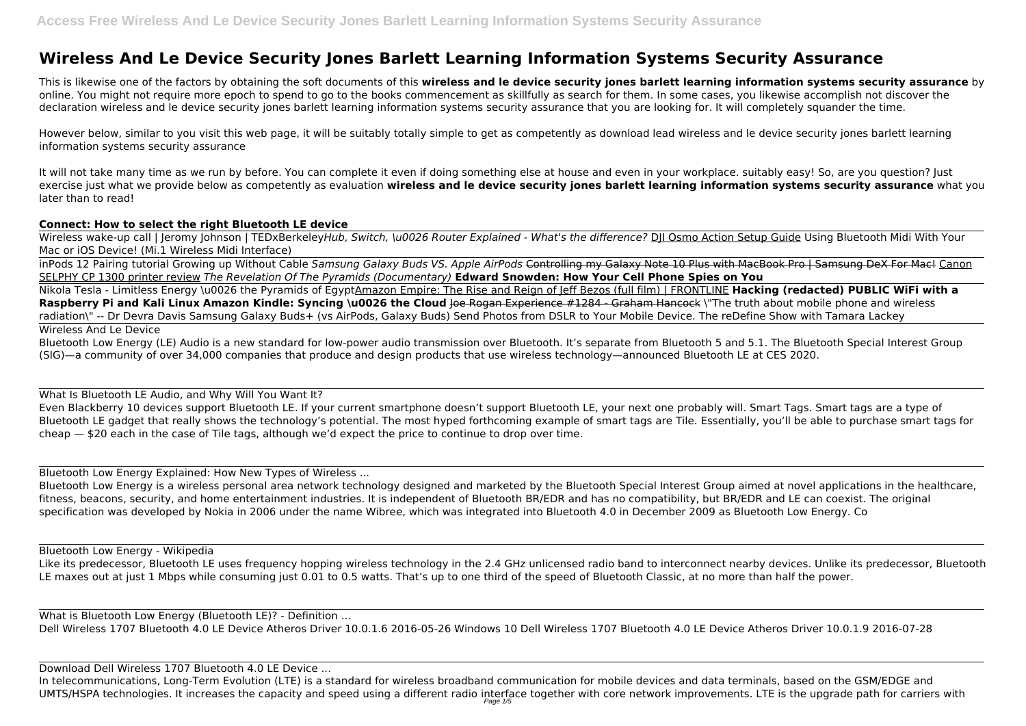## **Wireless And Le Device Security Jones Barlett Learning Information Systems Security Assurance**

This is likewise one of the factors by obtaining the soft documents of this **wireless and le device security jones barlett learning information systems security assurance** by online. You might not require more epoch to spend to go to the books commencement as skillfully as search for them. In some cases, you likewise accomplish not discover the declaration wireless and le device security jones barlett learning information systems security assurance that you are looking for. It will completely squander the time.

Wireless wake-up call | Jeromy Johnson | TEDxBerkeleyHub, Switch, \u0026 Router Explained - What's the difference? DII Osmo Action Setup Guide Using Bluetooth Midi With Your Mac or iOS Device! (Mi.1 Wireless Midi Interface)

However below, similar to you visit this web page, it will be suitably totally simple to get as competently as download lead wireless and le device security jones barlett learning information systems security assurance

It will not take many time as we run by before. You can complete it even if doing something else at house and even in your workplace. suitably easy! So, are you question? Just exercise just what we provide below as competently as evaluation **wireless and le device security jones barlett learning information systems security assurance** what you later than to read!

## **Connect: How to select the right Bluetooth LE device**

inPods 12 Pairing tutorial Growing up Without Cable *Samsung Galaxy Buds VS. Apple AirPods* Controlling my Galaxy Note 10 Plus with MacBook Pro | Samsung DeX For Mac! Canon SELPHY CP 1300 printer review *The Revelation Of The Pyramids (Documentary)* **Edward Snowden: How Your Cell Phone Spies on You**

Like its predecessor, Bluetooth LE uses frequency hopping wireless technology in the 2.4 GHz unlicensed radio band to interconnect nearby devices. Unlike its predecessor, Bluetooth LE maxes out at just 1 Mbps while consuming just 0.01 to 0.5 watts. That's up to one third of the speed of Bluetooth Classic, at no more than half the power.

Nikola Tesla - Limitless Energy \u0026 the Pyramids of EgyptAmazon Empire: The Rise and Reign of Jeff Bezos (full film) | FRONTLINE **Hacking (redacted) PUBLIC WiFi with a Raspberry Pi and Kali Linux Amazon Kindle: Syncing \u0026 the Cloud <del>Joe Rogan Experience #1284 - Graham Hancock</del> \"The truth about mobile phone and wireless** radiation\" -- Dr Devra Davis Samsung Galaxy Buds+ (vs AirPods, Galaxy Buds) Send Photos from DSLR to Your Mobile Device. The reDefine Show with Tamara Lackey Wireless And Le Device

In telecommunications, Long-Term Evolution (LTE) is a standard for wireless broadband communication for mobile devices and data terminals, based on the GSM/EDGE and UMTS/HSPA technologies. It increases the capacity and speed using a different radio interface together with core network improvements. LTE is the upgrade path for carriers with

Bluetooth Low Energy (LE) Audio is a new standard for low-power audio transmission over Bluetooth. It's separate from Bluetooth 5 and 5.1. The Bluetooth Special Interest Group (SIG)—a community of over 34,000 companies that produce and design products that use wireless technology—announced Bluetooth LE at CES 2020.

What Is Bluetooth LE Audio, and Why Will You Want It? Even Blackberry 10 devices support Bluetooth LE. If your current smartphone doesn't support Bluetooth LE, your next one probably will. Smart Tags. Smart tags are a type of Bluetooth LE gadget that really shows the technology's potential. The most hyped forthcoming example of smart tags are Tile. Essentially, you'll be able to purchase smart tags for cheap — \$20 each in the case of Tile tags, although we'd expect the price to continue to drop over time.

Bluetooth Low Energy Explained: How New Types of Wireless ...

Bluetooth Low Energy is a wireless personal area network technology designed and marketed by the Bluetooth Special Interest Group aimed at novel applications in the healthcare, fitness, beacons, security, and home entertainment industries. It is independent of Bluetooth BR/EDR and has no compatibility, but BR/EDR and LE can coexist. The original specification was developed by Nokia in 2006 under the name Wibree, which was integrated into Bluetooth 4.0 in December 2009 as Bluetooth Low Energy. Co

## Bluetooth Low Energy - Wikipedia

What is Bluetooth Low Energy (Bluetooth LE)? - Definition ... Dell Wireless 1707 Bluetooth 4.0 LE Device Atheros Driver 10.0.1.6 2016-05-26 Windows 10 Dell Wireless 1707 Bluetooth 4.0 LE Device Atheros Driver 10.0.1.9 2016-07-28

Download Dell Wireless 1707 Bluetooth 4.0 LE Device ...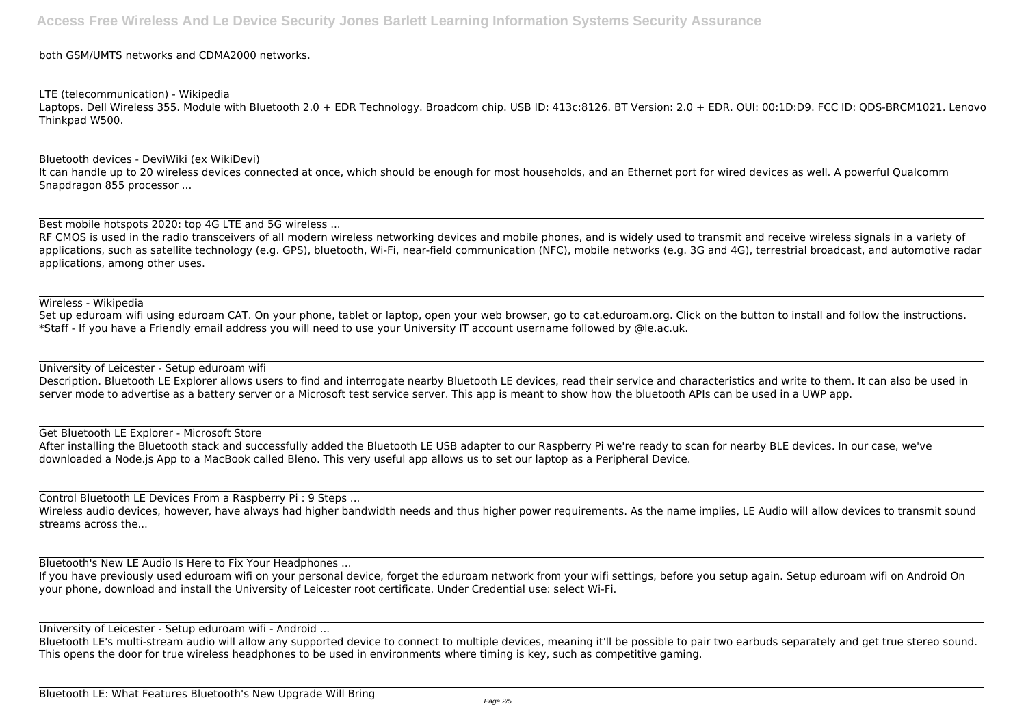both GSM/UMTS networks and CDMA2000 networks.

LTE (telecommunication) - Wikipedia Laptops. Dell Wireless 355. Module with Bluetooth 2.0 + EDR Technology. Broadcom chip. USB ID: 413c:8126. BT Version: 2.0 + EDR. OUI: 00:1D:D9. FCC ID: QDS-BRCM1021. Lenovo Thinkpad W500.

Bluetooth devices - DeviWiki (ex WikiDevi) It can handle up to 20 wireless devices connected at once, which should be enough for most households, and an Ethernet port for wired devices as well. A powerful Qualcomm Snapdragon 855 processor ...

RF CMOS is used in the radio transceivers of all modern wireless networking devices and mobile phones, and is widely used to transmit and receive wireless signals in a variety of applications, such as satellite technology (e.g. GPS), bluetooth, Wi-Fi, near-field communication (NFC), mobile networks (e.g. 3G and 4G), terrestrial broadcast, and automotive radar applications, among other uses.

Best mobile hotspots 2020: top 4G LTE and 5G wireless ...

Wireless - Wikipedia

Set up eduroam wifi using eduroam CAT. On your phone, tablet or laptop, open your web browser, go to cat.eduroam.org. Click on the button to install and follow the instructions. \*Staff - If you have a Friendly email address you will need to use your University IT account username followed by @le.ac.uk.

University of Leicester - Setup eduroam wifi

Bluetooth LE's multi-stream audio will allow any supported device to connect to multiple devices, meaning it'll be possible to pair two earbuds separately and get true stereo sound. This opens the door for true wireless headphones to be used in environments where timing is key, such as competitive gaming.

Description. Bluetooth LE Explorer allows users to find and interrogate nearby Bluetooth LE devices, read their service and characteristics and write to them. It can also be used in server mode to advertise as a battery server or a Microsoft test service server. This app is meant to show how the bluetooth APIs can be used in a UWP app.

Get Bluetooth LE Explorer - Microsoft Store

After installing the Bluetooth stack and successfully added the Bluetooth LE USB adapter to our Raspberry Pi we're ready to scan for nearby BLE devices. In our case, we've downloaded a Node.js App to a MacBook called Bleno. This very useful app allows us to set our laptop as a Peripheral Device.

Control Bluetooth LE Devices From a Raspberry Pi : 9 Steps ...

Wireless audio devices, however, have always had higher bandwidth needs and thus higher power requirements. As the name implies, LE Audio will allow devices to transmit sound streams across the...

Bluetooth's New LE Audio Is Here to Fix Your Headphones ...

If you have previously used eduroam wifi on your personal device, forget the eduroam network from your wifi settings, before you setup again. Setup eduroam wifi on Android On your phone, download and install the University of Leicester root certificate. Under Credential use: select Wi-Fi.

University of Leicester - Setup eduroam wifi - Android ...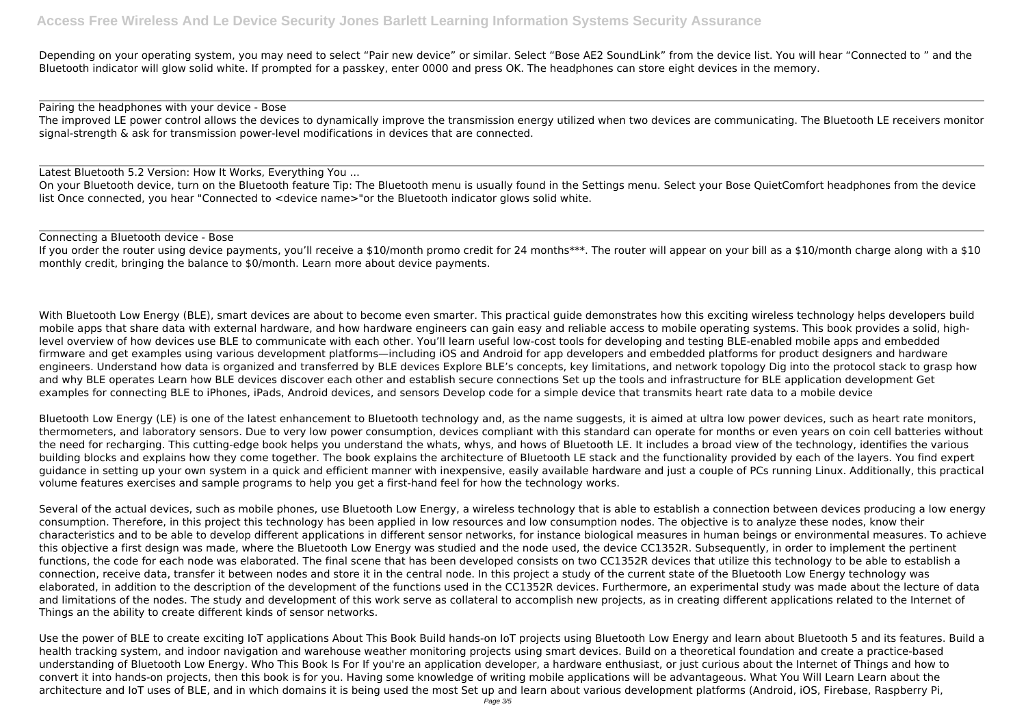Depending on your operating system, you may need to select "Pair new device" or similar. Select "Bose AE2 SoundLink" from the device list. You will hear "Connected to " and the Bluetooth indicator will glow solid white. If prompted for a passkey, enter 0000 and press OK. The headphones can store eight devices in the memory.

On your Bluetooth device, turn on the Bluetooth feature Tip: The Bluetooth menu is usually found in the Settings menu. Select your Bose QuietComfort headphones from the device list Once connected, you hear "Connected to <device name>"or the Bluetooth indicator glows solid white.

Pairing the headphones with your device - Bose The improved LE power control allows the devices to dynamically improve the transmission energy utilized when two devices are communicating. The Bluetooth LE receivers monitor signal-strength & ask for transmission power-level modifications in devices that are connected.

If you order the router using device payments, you'll receive a \$10/month promo credit for 24 months\*\*\*. The router will appear on your bill as a \$10/month charge along with a \$10 monthly credit, bringing the balance to \$0/month. Learn more about device payments.

Latest Bluetooth 5.2 Version: How It Works, Everything You ...

Connecting a Bluetooth device - Bose

With Bluetooth Low Energy (BLE), smart devices are about to become even smarter. This practical guide demonstrates how this exciting wireless technology helps developers build mobile apps that share data with external hardware, and how hardware engineers can gain easy and reliable access to mobile operating systems. This book provides a solid, highlevel overview of how devices use BLE to communicate with each other. You'll learn useful low-cost tools for developing and testing BLE-enabled mobile apps and embedded firmware and get examples using various development platforms—including iOS and Android for app developers and embedded platforms for product designers and hardware engineers. Understand how data is organized and transferred by BLE devices Explore BLE's concepts, key limitations, and network topology Dig into the protocol stack to grasp how and why BLE operates Learn how BLE devices discover each other and establish secure connections Set up the tools and infrastructure for BLE application development Get examples for connecting BLE to iPhones, iPads, Android devices, and sensors Develop code for a simple device that transmits heart rate data to a mobile device

Bluetooth Low Energy (LE) is one of the latest enhancement to Bluetooth technology and, as the name suggests, it is aimed at ultra low power devices, such as heart rate monitors, thermometers, and laboratory sensors. Due to very low power consumption, devices compliant with this standard can operate for months or even years on coin cell batteries without the need for recharging. This cutting-edge book helps you understand the whats, whys, and hows of Bluetooth LE. It includes a broad view of the technology, identifies the various building blocks and explains how they come together. The book explains the architecture of Bluetooth LE stack and the functionality provided by each of the layers. You find expert guidance in setting up your own system in a quick and efficient manner with inexpensive, easily available hardware and just a couple of PCs running Linux. Additionally, this practical volume features exercises and sample programs to help you get a first-hand feel for how the technology works.

Several of the actual devices, such as mobile phones, use Bluetooth Low Energy, a wireless technology that is able to establish a connection between devices producing a low energy consumption. Therefore, in this project this technology has been applied in low resources and low consumption nodes. The objective is to analyze these nodes, know their characteristics and to be able to develop different applications in different sensor networks, for instance biological measures in human beings or environmental measures. To achieve this objective a first design was made, where the Bluetooth Low Energy was studied and the node used, the device CC1352R. Subsequently, in order to implement the pertinent functions, the code for each node was elaborated. The final scene that has been developed consists on two CC1352R devices that utilize this technology to be able to establish a connection, receive data, transfer it between nodes and store it in the central node. In this project a study of the current state of the Bluetooth Low Energy technology was elaborated, in addition to the description of the development of the functions used in the CC1352R devices. Furthermore, an experimental study was made about the lecture of data and limitations of the nodes. The study and development of this work serve as collateral to accomplish new projects, as in creating different applications related to the Internet of Things an the ability to create different kinds of sensor networks.

Use the power of BLE to create exciting IoT applications About This Book Build hands-on IoT projects using Bluetooth Low Energy and learn about Bluetooth 5 and its features. Build a health tracking system, and indoor navigation and warehouse weather monitoring projects using smart devices. Build on a theoretical foundation and create a practice-based understanding of Bluetooth Low Energy. Who This Book Is For If you're an application developer, a hardware enthusiast, or just curious about the Internet of Things and how to convert it into hands-on projects, then this book is for you. Having some knowledge of writing mobile applications will be advantageous. What You Will Learn Learn about the architecture and IoT uses of BLE, and in which domains it is being used the most Set up and learn about various development platforms (Android, iOS, Firebase, Raspberry Pi,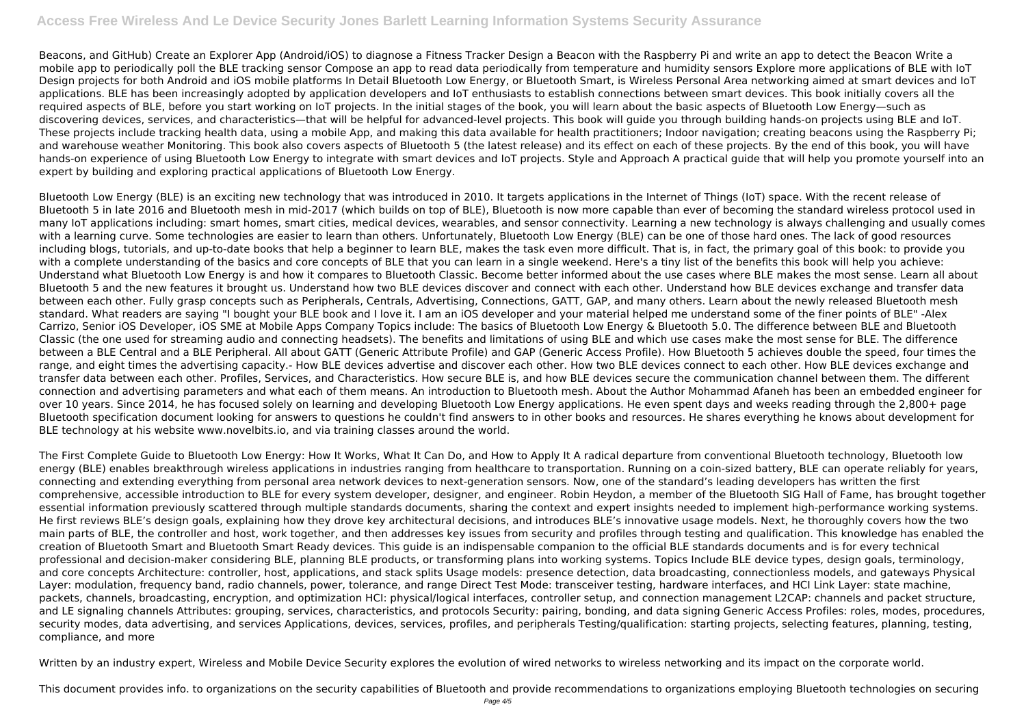Beacons, and GitHub) Create an Explorer App (Android/iOS) to diagnose a Fitness Tracker Design a Beacon with the Raspberry Pi and write an app to detect the Beacon Write a mobile app to periodically poll the BLE tracking sensor Compose an app to read data periodically from temperature and humidity sensors Explore more applications of BLE with IoT Design projects for both Android and iOS mobile platforms In Detail Bluetooth Low Energy, or Bluetooth Smart, is Wireless Personal Area networking aimed at smart devices and IoT applications. BLE has been increasingly adopted by application developers and IoT enthusiasts to establish connections between smart devices. This book initially covers all the required aspects of BLE, before you start working on IoT projects. In the initial stages of the book, you will learn about the basic aspects of Bluetooth Low Energy—such as discovering devices, services, and characteristics—that will be helpful for advanced-level projects. This book will guide you through building hands-on projects using BLE and IoT. These projects include tracking health data, using a mobile App, and making this data available for health practitioners; Indoor navigation; creating beacons using the Raspberry Pi; and warehouse weather Monitoring. This book also covers aspects of Bluetooth 5 (the latest release) and its effect on each of these projects. By the end of this book, you will have hands-on experience of using Bluetooth Low Energy to integrate with smart devices and IoT projects. Style and Approach A practical guide that will help you promote yourself into an expert by building and exploring practical applications of Bluetooth Low Energy.

Bluetooth Low Energy (BLE) is an exciting new technology that was introduced in 2010. It targets applications in the Internet of Things (IoT) space. With the recent release of Bluetooth 5 in late 2016 and Bluetooth mesh in mid-2017 (which builds on top of BLE), Bluetooth is now more capable than ever of becoming the standard wireless protocol used in many IoT applications including: smart homes, smart cities, medical devices, wearables, and sensor connectivity. Learning a new technology is always challenging and usually comes with a learning curve. Some technologies are easier to learn than others. Unfortunately, Bluetooth Low Energy (BLE) can be one of those hard ones. The lack of good resources including blogs, tutorials, and up-to-date books that help a beginner to learn BLE, makes the task even more difficult. That is, in fact, the primary goal of this book: to provide you with a complete understanding of the basics and core concepts of BLE that you can learn in a single weekend. Here's a tiny list of the benefits this book will help you achieve: Understand what Bluetooth Low Energy is and how it compares to Bluetooth Classic. Become better informed about the use cases where BLE makes the most sense. Learn all about Bluetooth 5 and the new features it brought us. Understand how two BLE devices discover and connect with each other. Understand how BLE devices exchange and transfer data between each other. Fully grasp concepts such as Peripherals, Centrals, Advertising, Connections, GATT, GAP, and many others. Learn about the newly released Bluetooth mesh standard. What readers are saying "I bought your BLE book and I love it. I am an iOS developer and your material helped me understand some of the finer points of BLE" -Alex Carrizo, Senior iOS Developer, iOS SME at Mobile Apps Company Topics include: The basics of Bluetooth Low Energy & Bluetooth 5.0. The difference between BLE and Bluetooth Classic (the one used for streaming audio and connecting headsets). The benefits and limitations of using BLE and which use cases make the most sense for BLE. The difference between a BLE Central and a BLE Peripheral. All about GATT (Generic Attribute Profile) and GAP (Generic Access Profile). How Bluetooth 5 achieves double the speed, four times the range, and eight times the advertising capacity.- How BLE devices advertise and discover each other. How two BLE devices connect to each other. How BLE devices exchange and transfer data between each other. Profiles, Services, and Characteristics. How secure BLE is, and how BLE devices secure the communication channel between them. The different connection and advertising parameters and what each of them means. An introduction to Bluetooth mesh. About the Author Mohammad Afaneh has been an embedded engineer for over 10 years. Since 2014, he has focused solely on learning and developing Bluetooth Low Energy applications. He even spent days and weeks reading through the 2,800+ page Bluetooth specification document looking for answers to questions he couldn't find answers to in other books and resources. He shares everything he knows about development for BLE technology at his website www.novelbits.io, and via training classes around the world.

The First Complete Guide to Bluetooth Low Energy: How It Works, What It Can Do, and How to Apply It A radical departure from conventional Bluetooth technology, Bluetooth low energy (BLE) enables breakthrough wireless applications in industries ranging from healthcare to transportation. Running on a coin-sized battery, BLE can operate reliably for years, connecting and extending everything from personal area network devices to next-generation sensors. Now, one of the standard's leading developers has written the first comprehensive, accessible introduction to BLE for every system developer, designer, and engineer. Robin Heydon, a member of the Bluetooth SIG Hall of Fame, has brought together essential information previously scattered through multiple standards documents, sharing the context and expert insights needed to implement high-performance working systems. He first reviews BLE's design goals, explaining how they drove key architectural decisions, and introduces BLE's innovative usage models. Next, he thoroughly covers how the two main parts of BLE, the controller and host, work together, and then addresses key issues from security and profiles through testing and qualification. This knowledge has enabled the creation of Bluetooth Smart and Bluetooth Smart Ready devices. This guide is an indispensable companion to the official BLE standards documents and is for every technical professional and decision-maker considering BLE, planning BLE products, or transforming plans into working systems. Topics Include BLE device types, design goals, terminology, and core concepts Architecture: controller, host, applications, and stack splits Usage models: presence detection, data broadcasting, connectionless models, and gateways Physical Layer: modulation, frequency band, radio channels, power, tolerance, and range Direct Test Mode: transceiver testing, hardware interfaces, and HCI Link Layer: state machine, packets, channels, broadcasting, encryption, and optimization HCI: physical/logical interfaces, controller setup, and connection management L2CAP: channels and packet structure, and LE signaling channels Attributes: grouping, services, characteristics, and protocols Security: pairing, bonding, and data signing Generic Access Profiles: roles, modes, procedures, security modes, data advertising, and services Applications, devices, services, profiles, and peripherals Testing/qualification: starting projects, selecting features, planning, testing, compliance, and more

Written by an industry expert, Wireless and Mobile Device Security explores the evolution of wired networks to wireless networking and its impact on the corporate world.

This document provides info. to organizations on the security capabilities of Bluetooth and provide recommendations to organizations employing Bluetooth technologies on securing